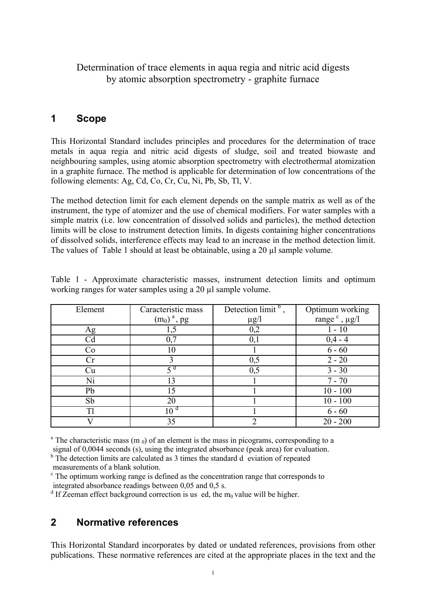## Determination of trace elements in aqua regia and nitric acid digests by atomic absorption spectrometry - graphite furnace

## **1 Scope**

This Horizontal Standard includes principles and procedures for the determination of trace metals in aqua regia and nitric acid digests of sludge, soil and treated biowaste and neighbouring samples, using atomic absorption spectrometry with electrothermal atomization in a graphite furnace. The method is applicable for determination of low concentrations of the following elements: Ag, Cd, Co, Cr, Cu, Ni, Pb, Sb, Tl, V.

The method detection limit for each element depends on the sample matrix as well as of the instrument, the type of atomizer and the use of chemical modifiers. For water samples with a simple matrix (i.e. low concentration of dissolved solids and particles), the method detection limits will be close to instrument detection limits. In digests containing higher concentrations of dissolved solids, interference effects may lead to an increase in the method detection limit. The values of Table 1 should at least be obtainable, using a 20 µl sample volume.

| Element             | Caracteristic mass        | Detection limit <sup>b</sup> . | Optimum working             |
|---------------------|---------------------------|--------------------------------|-----------------------------|
|                     | $(m_0)$ <sup>a</sup> , pg | $\mu$ g/l                      | range $\degree$ , $\mu$ g/l |
| <u>Ag</u>           |                           | 0,2                            |                             |
| Cd                  |                           | 0,1                            | $0,4 - 4$                   |
| Co                  | 10                        |                                | $6 - 60$                    |
| $\operatorname{Cr}$ |                           | 0,5                            | $2 - 20$                    |
| Cu                  | ςd                        | 0,5                            | $3 - 30$                    |
| Ni                  | 13                        |                                | $7 - 70$                    |
| Pb                  | 15                        |                                | $10 - 100$                  |
| Sb                  | 20                        |                                | $10 - 100$                  |
| Tl                  | 10 <sup>d</sup>           |                                | $6 - 60$                    |
|                     | 35                        |                                | $20 - 200$                  |

Table 1 - Approximate characteristic masses, instrument detection limits and optimum working ranges for water samples using a 20 µl sample volume.

<sup>a</sup> The characteristic mass (m  $_0$ ) of an element is the mass in picograms, corresponding to a signal of 0,0044 seconds (s), using the integrated absorbance (peak area) for evaluation.

<sup>b</sup> The detection limits are calculated as 3 times the standard d eviation of repeated measurements of a blank solution.

<sup>c</sup> The optimum working range is defined as the concentration range that corresponds to integrated absorbance readings between 0,05 and 0,5 s.

<sup>d</sup> If Zeeman effect background correction is us ed, the m<sub>0</sub> value will be higher.

## **2 Normative references**

This Horizontal Standard incorporates by dated or undated references, provisions from other publications. These normative references are cited at the appropriate places in the text and the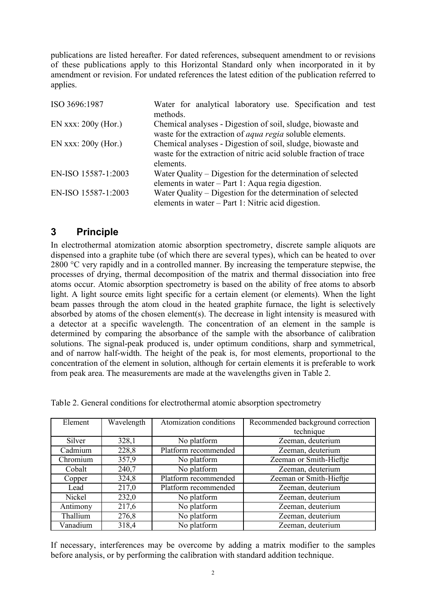publications are listed hereafter. For dated references, subsequent amendment to or revisions of these publications apply to this Horizontal Standard only when incorporated in it by amendment or revision. For undated references the latest edition of the publication referred to applies.

| ISO 3696:1987         | Water for analytical laboratory use. Specification and test<br>methods.                                                                       |  |  |  |  |
|-----------------------|-----------------------------------------------------------------------------------------------------------------------------------------------|--|--|--|--|
| EN xxx: $200y$ (Hor.) | Chemical analyses - Digestion of soil, sludge, biowaste and<br>waste for the extraction of <i>aqua regia</i> soluble elements.                |  |  |  |  |
| EN xxx: $200y$ (Hor.) | Chemical analyses - Digestion of soil, sludge, biowaste and<br>waste for the extraction of nitric acid soluble fraction of trace<br>elements. |  |  |  |  |
| EN-ISO 15587-1:2003   | Water Quality – Digestion for the determination of selected<br>elements in water – Part 1: Aqua regia digestion.                              |  |  |  |  |
| EN-ISO 15587-1:2003   | Water Quality – Digestion for the determination of selected<br>elements in water – Part 1: Nitric acid digestion.                             |  |  |  |  |

## **3 Principle**

In electrothermal atomization atomic absorption spectrometry, discrete sample aliquots are dispensed into a graphite tube (of which there are several types), which can be heated to over 2800 °C very rapidly and in a controlled manner. By increasing the temperature stepwise, the processes of drying, thermal decomposition of the matrix and thermal dissociation into free atoms occur. Atomic absorption spectrometry is based on the ability of free atoms to absorb light. A light source emits light specific for a certain element (or elements). When the light beam passes through the atom cloud in the heated graphite furnace, the light is selectively absorbed by atoms of the chosen element(s). The decrease in light intensity is measured with a detector at a specific wavelength. The concentration of an element in the sample is determined by comparing the absorbance of the sample with the absorbance of calibration solutions. The signal-peak produced is, under optimum conditions, sharp and symmetrical, and of narrow half-width. The height of the peak is, for most elements, proportional to the concentration of the element in solution, although for certain elements it is preferable to work from peak area. The measurements are made at the wavelengths given in Table 2.

| Element  | Wavelength | Atomization conditions | Recommended background correction |
|----------|------------|------------------------|-----------------------------------|
|          |            |                        | technique                         |
| Silver   | 328,1      | No platform            | Zeeman, deuterium                 |
| Cadmium  | 228,8      | Platform recommended   | Zeeman, deuterium                 |
| Chromium | 357,9      | No platform            | Zeeman or Smith-Hieftje           |
| Cobalt   | 240,7      | No platform            | Zeeman, deuterium                 |
| Copper   | 324,8      | Platform recommended   | Zeeman or Smith-Hieftje           |
| Lead     | 217,0      | Platform recommended   | Zeeman, deuterium                 |
| Nickel   | 232,0      | No platform            | Zeeman, deuterium                 |
| Antimony | 217,6      | No platform            | Zeeman, deuterium                 |
| Thallium | 276,8      | No platform            | Zeeman, deuterium                 |
| Vanadium | 318,4      | No platform            | Zeeman, deuterium                 |

Table 2. General conditions for electrothermal atomic absorption spectrometry

If necessary, interferences may be overcome by adding a matrix modifier to the samples before analysis, or by performing the calibration with standard addition technique.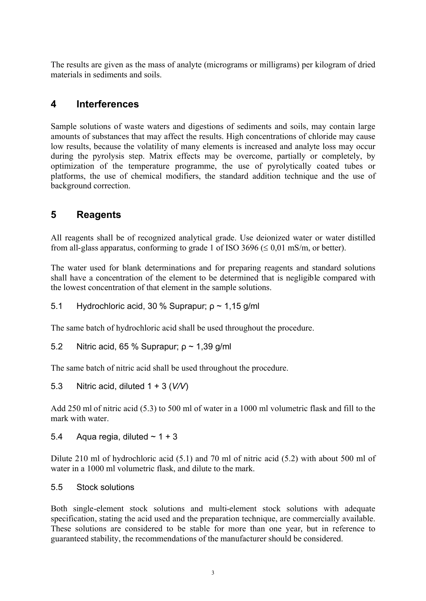The results are given as the mass of analyte (micrograms or milligrams) per kilogram of dried materials in sediments and soils.

## **4 Interferences**

Sample solutions of waste waters and digestions of sediments and soils, may contain large amounts of substances that may affect the results. High concentrations of chloride may cause low results, because the volatility of many elements is increased and analyte loss may occur during the pyrolysis step. Matrix effects may be overcome, partially or completely, by optimization of the temperature programme, the use of pyrolytically coated tubes or platforms, the use of chemical modifiers, the standard addition technique and the use of background correction.

## **5 Reagents**

All reagents shall be of recognized analytical grade. Use deionized water or water distilled from all-glass apparatus, conforming to grade 1 of ISO 3696 ( $\leq 0.01$  mS/m, or better).

The water used for blank determinations and for preparing reagents and standard solutions shall have a concentration of the element to be determined that is negligible compared with the lowest concentration of that element in the sample solutions.

5.1 Hydrochloric acid, 30 % Suprapur; ρ ~ 1,15 g/ml

The same batch of hydrochloric acid shall be used throughout the procedure.

5.2 Nitric acid, 65 % Suprapur; ρ ~ 1,39 g/ml

The same batch of nitric acid shall be used throughout the procedure.

5.3 Nitric acid, diluted 1 + 3 (*V/V*)

Add 250 ml of nitric acid (5.3) to 500 ml of water in a 1000 ml volumetric flask and fill to the mark with water.

5.4 Agua regia, diluted  $\sim$  1 + 3

Dilute 210 ml of hydrochloric acid (5.1) and 70 ml of nitric acid (5.2) with about 500 ml of water in a 1000 ml volumetric flask, and dilute to the mark.

#### 5.5 Stock solutions

Both single-element stock solutions and multi-element stock solutions with adequate specification, stating the acid used and the preparation technique, are commercially available. These solutions are considered to be stable for more than one year, but in reference to guaranteed stability, the recommendations of the manufacturer should be considered.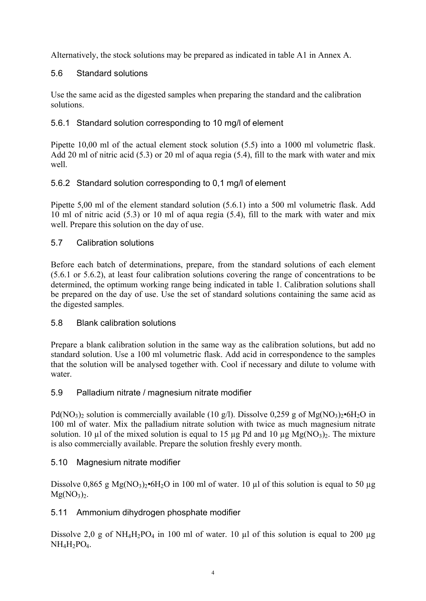Alternatively, the stock solutions may be prepared as indicated in table A1 in Annex A.

### 5.6 Standard solutions

Use the same acid as the digested samples when preparing the standard and the calibration solutions.

### 5.6.1 Standard solution corresponding to 10 mg/l of element

Pipette 10,00 ml of the actual element stock solution (5.5) into a 1000 ml volumetric flask. Add 20 ml of nitric acid (5.3) or 20 ml of aqua regia (5.4), fill to the mark with water and mix well.

## 5.6.2 Standard solution corresponding to 0,1 mg/l of element

Pipette 5,00 ml of the element standard solution (5.6.1) into a 500 ml volumetric flask. Add 10 ml of nitric acid (5.3) or 10 ml of aqua regia (5.4), fill to the mark with water and mix well. Prepare this solution on the day of use.

### 5.7 Calibration solutions

Before each batch of determinations, prepare, from the standard solutions of each element (5.6.1 or 5.6.2), at least four calibration solutions covering the range of concentrations to be determined, the optimum working range being indicated in table 1. Calibration solutions shall be prepared on the day of use. Use the set of standard solutions containing the same acid as the digested samples.

### 5.8 Blank calibration solutions

Prepare a blank calibration solution in the same way as the calibration solutions, but add no standard solution. Use a 100 ml volumetric flask. Add acid in correspondence to the samples that the solution will be analysed together with. Cool if necessary and dilute to volume with water.

### 5.9 Palladium nitrate / magnesium nitrate modifier

Pd(NO<sub>3</sub>)<sub>2</sub> solution is commercially available (10 g/l). Dissolve 0,259 g of Mg(NO<sub>3</sub>)<sub>2</sub>•6H<sub>2</sub>O in 100 ml of water. Mix the palladium nitrate solution with twice as much magnesium nitrate solution. 10  $\mu$ l of the mixed solution is equal to 15  $\mu$ g Pd and 10  $\mu$ g Mg(NO<sub>3</sub>)<sub>2</sub>. The mixture is also commercially available. Prepare the solution freshly every month.

### 5.10 Magnesium nitrate modifier

Dissolve 0,865 g Mg(NO<sub>3</sub>)<sub>2</sub>•6H<sub>2</sub>O in 100 ml of water. 10 µl of this solution is equal to 50 µg  $Mg(NO_3)_{2.}$ 

## 5.11 Ammonium dihydrogen phosphate modifier

Dissolve 2,0 g of NH<sub>4</sub>H<sub>2</sub>PO<sub>4</sub> in 100 ml of water. 10 µl of this solution is equal to 200 µg  $NH<sub>4</sub>H<sub>2</sub>PO<sub>4</sub>$ .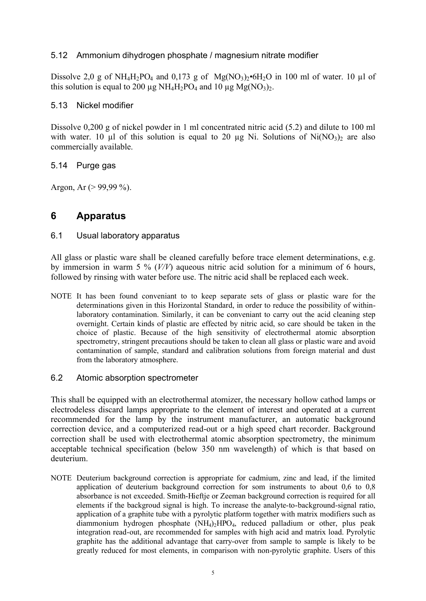#### 5.12 Ammonium dihydrogen phosphate / magnesium nitrate modifier

Dissolve 2,0 g of NH<sub>4</sub>H<sub>2</sub>PO<sub>4</sub> and 0,173 g of Mg(NO<sub>3</sub>)<sub>2</sub>•6H<sub>2</sub>O in 100 ml of water. 10 µl of this solution is equal to 200  $\mu$ g NH<sub>4</sub>H<sub>2</sub>PO<sub>4</sub> and 10  $\mu$ g Mg(NO<sub>3</sub>)<sub>2</sub>.

#### 5.13 Nickel modifier

Dissolve 0,200 g of nickel powder in 1 ml concentrated nitric acid (5.2) and dilute to 100 ml with water. 10  $\mu$ l of this solution is equal to 20  $\mu$ g Ni. Solutions of Ni(NO<sub>3</sub>)<sub>2</sub> are also commercially available.

#### 5.14 Purge gas

Argon, Ar  $(> 99.99\%)$ .

## **6 Apparatus**

#### 6.1 Usual laboratory apparatus

All glass or plastic ware shall be cleaned carefully before trace element determinations, e.g. by immersion in warm 5 % (*V/V*) aqueous nitric acid solution for a minimum of 6 hours, followed by rinsing with water before use. The nitric acid shall be replaced each week.

NOTE It has been found conveniant to to keep separate sets of glass or plastic ware for the determinations given in this Horizontal Standard, in order to reduce the possibility of withinlaboratory contamination. Similarly, it can be conveniant to carry out the acid cleaning step overnight. Certain kinds of plastic are effected by nitric acid, so care should be taken in the choice of plastic. Because of the high sensitivity of electrothermal atomic absorption spectrometry, stringent precautions should be taken to clean all glass or plastic ware and avoid contamination of sample, standard and calibration solutions from foreign material and dust from the laboratory atmosphere.

#### 6.2 Atomic absorption spectrometer

This shall be equipped with an electrothermal atomizer, the necessary hollow cathod lamps or electrodeless discard lamps appropriate to the element of interest and operated at a current recommended for the lamp by the instrument manufacturer, an automatic background correction device, and a computerized read-out or a high speed chart recorder. Background correction shall be used with electrothermal atomic absorption spectrometry, the minimum acceptable technical specification (below 350 nm wavelength) of which is that based on deuterium.

NOTE Deuterium background correction is appropriate for cadmium, zinc and lead, if the limited application of deuterium background correction for som instruments to about 0,6 to 0,8 absorbance is not exceeded. Smith-Hieftje or Zeeman background correction is required for all elements if the backgroud signal is high. To increase the analyte-to-background-signal ratio, application of a graphite tube with a pyrolytic platform together with matrix modifiers such as diammonium hydrogen phosphate (NH4)2HPO4, reduced palladium or other, plus peak integration read-out, are recommended for samples with high acid and matrix load. Pyrolytic graphite has the additional advantage that carry-over from sample to sample is likely to be greatly reduced for most elements, in comparison with non-pyrolytic graphite. Users of this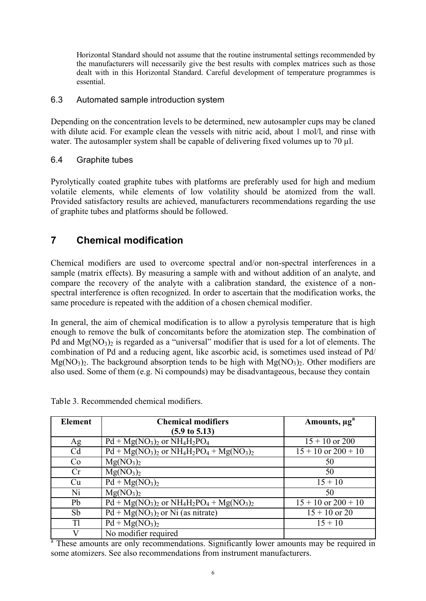Horizontal Standard should not assume that the routine instrumental settings recommended by the manufacturers will necessarily give the best results with complex matrices such as those dealt with in this Horizontal Standard. Careful development of temperature programmes is essential.

#### 6.3 Automated sample introduction system

Depending on the concentration levels to be determined, new autosampler cups may be claned with dilute acid. For example clean the vessels with nitric acid, about 1 mol/l, and rinse with water. The autosampler system shall be capable of delivering fixed volumes up to 70 µl.

#### 6.4 Graphite tubes

Pyrolytically coated graphite tubes with platforms are preferably used for high and medium volatile elements, while elements of low volatility should be atomized from the wall. Provided satisfactory results are achieved, manufacturers recommendations regarding the use of graphite tubes and platforms should be followed.

## **7 Chemical modification**

Chemical modifiers are used to overcome spectral and/or non-spectral interferences in a sample (matrix effects). By measuring a sample with and without addition of an analyte, and compare the recovery of the analyte with a calibration standard, the existence of a nonspectral interference is often recognized. In order to ascertain that the modification works, the same procedure is repeated with the addition of a chosen chemical modifier.

In general, the aim of chemical modification is to allow a pyrolysis temperature that is high enough to remove the bulk of concomitants before the atomization step. The combination of Pd and  $Mg(NO_3)$  is regarded as a "universal" modifier that is used for a lot of elements. The combination of Pd and a reducing agent, like ascorbic acid, is sometimes used instead of Pd/ Mg(NO<sub>3</sub>)<sub>2</sub>. The background absorption tends to be high with Mg(NO<sub>3</sub>)<sub>2</sub>. Other modifiers are also used. Some of them (e.g. Ni compounds) may be disadvantageous, because they contain

Table 3. Recommended chemical modifiers.

| <b>Element</b> | <b>Chemical modifiers</b>                | Amounts, µg <sup>a</sup> |  |
|----------------|------------------------------------------|--------------------------|--|
|                | $(5.9 \text{ to } 5.13)$                 |                          |  |
| Ag             | $Pd + Mg(NO3)2$ or $NH4H2PO4$            | $15 + 10$ or 200         |  |
| C <sub>d</sub> | $Pd + Mg(NO3)2$ or $NH4H2PO4 + Mg(NO3)2$ | $15 + 10$ or $200 + 10$  |  |
| Co             | Mg(NO <sub>3</sub> ) <sub>2</sub>        | 50                       |  |
| Cr             | Mg(NO <sub>3</sub> ) <sub>2</sub>        | 50                       |  |
| Cu             | $Pd + Mg(NO3)2$                          | $15 + 10$                |  |
| Ni             | Mg(NO <sub>3</sub> ) <sub>2</sub>        | 50                       |  |
| Pb             | $Pd + Mg(NO3)2$ or $NH4H2PO4 + Mg(NO3)2$ | $15 + 10$ or $200 + 10$  |  |
| Sb             | $Pd + Mg(NO3)2$ or Ni (as nitrate)       | $15 + 10$ or 20          |  |
| T <sub>1</sub> | $\overline{Pd} + Mg(NO_3)_2$             | $15 + 10$                |  |
|                | No modifier required                     |                          |  |

<sup>a</sup> These amounts are only recommendations. Significantly lower amounts may be required in some atomizers. See also recommendations from instrument manufacturers.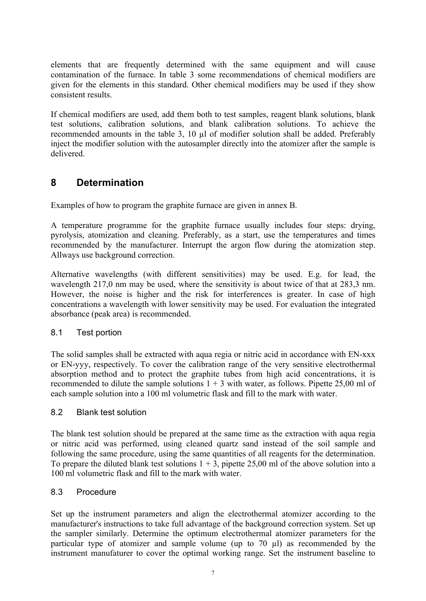elements that are frequently determined with the same equipment and will cause contamination of the furnace. In table 3 some recommendations of chemical modifiers are given for the elements in this standard. Other chemical modifiers may be used if they show consistent results.

If chemical modifiers are used, add them both to test samples, reagent blank solutions, blank test solutions, calibration solutions, and blank calibration solutions. To achieve the recommended amounts in the table 3, 10 µl of modifier solution shall be added. Preferably inject the modifier solution with the autosampler directly into the atomizer after the sample is delivered.

## **8 Determination**

Examples of how to program the graphite furnace are given in annex B.

A temperature programme for the graphite furnace usually includes four steps: drying, pyrolysis, atomization and cleaning. Preferably, as a start, use the temperatures and times recommended by the manufacturer. Interrupt the argon flow during the atomization step. Allways use background correction.

Alternative wavelengths (with different sensitivities) may be used. E.g. for lead, the wavelength 217,0 nm may be used, where the sensitivity is about twice of that at 283,3 nm. However, the noise is higher and the risk for interferences is greater. In case of high concentrations a wavelength with lower sensitivity may be used. For evaluation the integrated absorbance (peak area) is recommended.

#### 8.1 Test portion

The solid samples shall be extracted with aqua regia or nitric acid in accordance with EN-xxx or EN-yyy, respectively. To cover the calibration range of the very sensitive electrothermal absorption method and to protect the graphite tubes from high acid concentrations, it is recommended to dilute the sample solutions  $1 + 3$  with water, as follows. Pipette 25,00 ml of each sample solution into a 100 ml volumetric flask and fill to the mark with water.

#### 8.2 Blank test solution

The blank test solution should be prepared at the same time as the extraction with aqua regia or nitric acid was performed, using cleaned quartz sand instead of the soil sample and following the same procedure, using the same quantities of all reagents for the determination. To prepare the diluted blank test solutions  $1 + 3$ , pipette 25,00 ml of the above solution into a 100 ml volumetric flask and fill to the mark with water.

#### 8.3 Procedure

Set up the instrument parameters and align the electrothermal atomizer according to the manufacturer's instructions to take full advantage of the background correction system. Set up the sampler similarly. Determine the optimum electrothermal atomizer parameters for the particular type of atomizer and sample volume (up to 70 µl) as recommended by the instrument manufaturer to cover the optimal working range. Set the instrument baseline to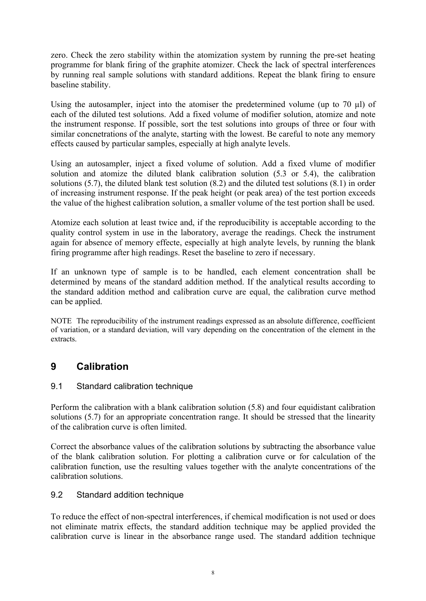zero. Check the zero stability within the atomization system by running the pre-set heating programme for blank firing of the graphite atomizer. Check the lack of spectral interferences by running real sample solutions with standard additions. Repeat the blank firing to ensure baseline stability.

Using the autosampler, inject into the atomiser the predetermined volume (up to 70 µl) of each of the diluted test solutions. Add a fixed volume of modifier solution, atomize and note the instrument response. If possible, sort the test solutions into groups of three or four with similar concnetrations of the analyte, starting with the lowest. Be careful to note any memory effects caused by particular samples, especially at high analyte levels.

Using an autosampler, inject a fixed volume of solution. Add a fixed vlume of modifier solution and atomize the diluted blank calibration solution (5.3 or 5.4), the calibration solutions (5.7), the diluted blank test solution (8.2) and the diluted test solutions (8.1) in order of increasing instrument response. If the peak height (or peak area) of the test portion exceeds the value of the highest calibration solution, a smaller volume of the test portion shall be used.

Atomize each solution at least twice and, if the reproducibility is acceptable according to the quality control system in use in the laboratory, average the readings. Check the instrument again for absence of memory effecte, especially at high analyte levels, by running the blank firing programme after high readings. Reset the baseline to zero if necessary.

If an unknown type of sample is to be handled, each element concentration shall be determined by means of the standard addition method. If the analytical results according to the standard addition method and calibration curve are equal, the calibration curve method can be applied.

NOTE The reproducibility of the instrument readings expressed as an absolute difference, coefficient of variation, or a standard deviation, will vary depending on the concentration of the element in the extracts.

# **9 Calibration**

### 9.1 Standard calibration technique

Perform the calibration with a blank calibration solution (5.8) and four equidistant calibration solutions (5.7) for an appropriate concentration range. It should be stressed that the linearity of the calibration curve is often limited.

Correct the absorbance values of the calibration solutions by subtracting the absorbance value of the blank calibration solution. For plotting a calibration curve or for calculation of the calibration function, use the resulting values together with the analyte concentrations of the calibration solutions.

### 9.2 Standard addition technique

To reduce the effect of non-spectral interferences, if chemical modification is not used or does not eliminate matrix effects, the standard addition technique may be applied provided the calibration curve is linear in the absorbance range used. The standard addition technique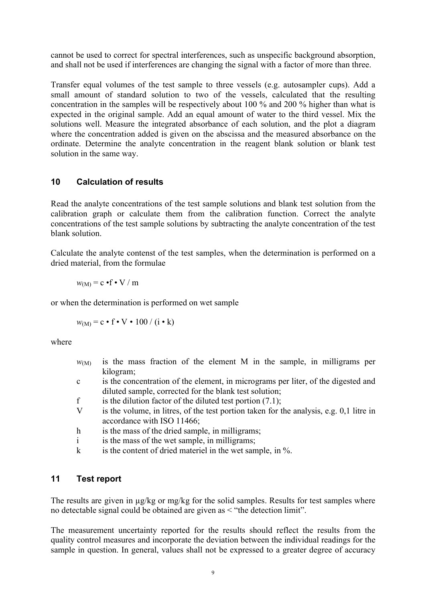cannot be used to correct for spectral interferences, such as unspecific background absorption, and shall not be used if interferences are changing the signal with a factor of more than three.

Transfer equal volumes of the test sample to three vessels (e.g. autosampler cups). Add a small amount of standard solution to two of the vessels, calculated that the resulting concentration in the samples will be respectively about 100 % and 200 % higher than what is expected in the original sample. Add an equal amount of water to the third vessel. Mix the solutions well. Measure the integrated absorbance of each solution, and the plot a diagram where the concentration added is given on the abscissa and the measured absorbance on the ordinate. Determine the analyte concentration in the reagent blank solution or blank test solution in the same way.

#### **10 Calculation of results**

Read the analyte concentrations of the test sample solutions and blank test solution from the calibration graph or calculate them from the calibration function. Correct the analyte concentrations of the test sample solutions by subtracting the analyte concentration of the test blank solution.

Calculate the analyte contenst of the test samples, when the determination is performed on a dried material, from the formulae

$$
w_{(M)} = c \cdot f \cdot V / m
$$

or when the determination is performed on wet sample

$$
w_{(M)} = c \cdot f \cdot V \cdot 100 / (i \cdot k)
$$

where

- $w_{(M)}$  is the mass fraction of the element M in the sample, in milligrams per kilogram;
- c is the concentration of the element, in micrograms per liter, of the digested and diluted sample, corrected for the blank test solution;
- f is the dilution factor of the diluted test portion  $(7.1)$ ;
- V is the volume, in litres, of the test portion taken for the analysis, e.g. 0,1 litre in accordance with ISO 11466;
- h is the mass of the dried sample, in milligrams;
- i is the mass of the wet sample, in milligrams;
- k is the content of dried materiel in the wet sample, in %.

### **11 Test report**

The results are given in  $\mu$ g/kg or mg/kg for the solid samples. Results for test samples where no detectable signal could be obtained are given as < "the detection limit".

The measurement uncertainty reported for the results should reflect the results from the quality control measures and incorporate the deviation between the individual readings for the sample in question. In general, values shall not be expressed to a greater degree of accuracy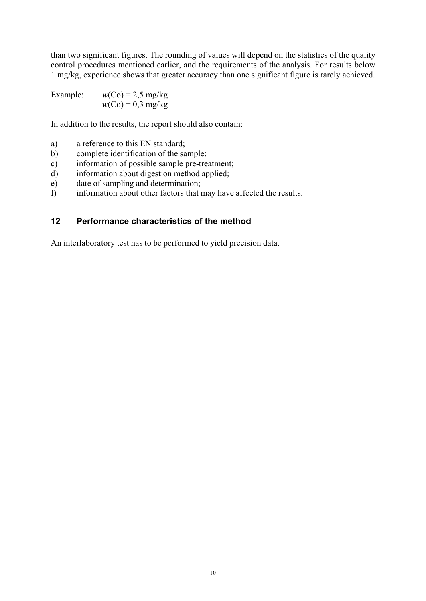than two significant figures. The rounding of values will depend on the statistics of the quality control procedures mentioned earlier, and the requirements of the analysis. For results below 1 mg/kg, experience shows that greater accuracy than one significant figure is rarely achieved.

Example:  $w(Co) = 2.5$  mg/kg  $w(C_0) = 0.3$  mg/kg

In addition to the results, the report should also contain:

- a) a reference to this EN standard;
- b) complete identification of the sample;
- c) information of possible sample pre-treatment;
- d) information about digestion method applied;
- e) date of sampling and determination;
- f) information about other factors that may have affected the results.

#### **12 Performance characteristics of the method**

An interlaboratory test has to be performed to yield precision data.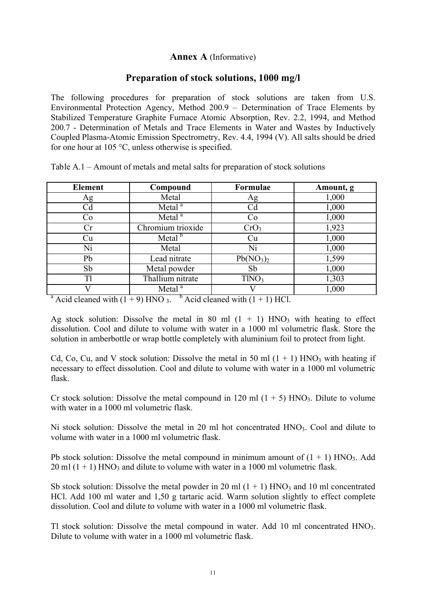### **Annex A** (Informative)

### **Preparation of stock solutions, 1000 mg/l**

The following procedures for preparation of stock solutions are taken from U.S. Environmental Protection Agency, Method 200.9 – Determination of Trace Elements by Stabilized Temperature Graphite Furnace Atomic Absorption, Rev. 2.2, 1994, and Method 200.7 - Determination of Metals and Trace Elements in Water and Wastes by Inductively Coupled Plasma-Atomic Emission Spectrometry, Rev. 4.4, 1994 (V). All salts should be dried for one hour at 105 °C, unless otherwise is specified.

| <b>Element</b> | Formulae<br>Compound |                                   | Amount, g |  |
|----------------|----------------------|-----------------------------------|-----------|--|
| Ag             | Metal                | Ag                                | 1,000     |  |
| Cd             | Metal <sup>a</sup>   | Cd                                | 1,000     |  |
| Co             | Metal <sup>a</sup>   | Co                                | 1,000     |  |
| Сr             | Chromium trioxide    | CrO <sub>3</sub>                  | 1,923     |  |
| Сu             | Metal <sup>b</sup>   | Cu                                | 1,000     |  |
| Ni             | Metal                | Ni                                | 1,000     |  |
| Pb             | Lead nitrate         | Pb(NO <sub>3</sub> ) <sub>2</sub> | 1,599     |  |
| Sb             | Metal powder         | Sb                                | 1,000     |  |
| T1             | Thallium nitrate     | TINO <sub>3</sub>                 | 1,303     |  |
|                | Metal <sup>a</sup>   |                                   | 1,000     |  |

Table A.1 – Amount of metals and metal salts for preparation of stock solutions

<sup>a</sup> Acid cleaned with  $(1 + 9)$  HNO 3. <sup>b</sup> Acid cleaned with  $(1 + 1)$  HCl.

Ag stock solution: Dissolve the metal in 80 ml  $(1 + 1)$  HNO<sub>3</sub> with heating to effect dissolution. Cool and dilute to volume with water in a 1000 ml volumetric flask. Store the solution in amberbottle or wrap bottle completely with aluminium foil to protect from light.

Cd, Co, Cu, and V stock solution: Dissolve the metal in 50 ml  $(1 + 1)$  HNO<sub>3</sub> with heating if necessary to effect dissolution. Cool and dilute to volume with water in a 1000 ml volumetric flask.

Cr stock solution: Dissolve the metal compound in 120 ml  $(1 + 5)$  HNO<sub>3</sub>. Dilute to volume with water in a 1000 ml volumetric flask.

Ni stock solution: Dissolve the metal in 20 ml hot concentrated HNO<sub>3</sub>. Cool and dilute to volume with water in a 1000 ml volumetric flask.

Pb stock solution: Dissolve the metal compound in minimum amount of  $(1 + 1)$  HNO<sub>3</sub>. Add  $20 \text{ ml } (1 + 1)$  HNO<sub>3</sub> and dilute to volume with water in a 1000 ml volumetric flask.

Sb stock solution: Dissolve the metal powder in 20 ml  $(1 + 1)$  HNO<sub>3</sub> and 10 ml concentrated HCl. Add 100 ml water and 1,50 g tartaric acid. Warm solution slightly to effect complete dissolution. Cool and dilute to volume with water in a 1000 ml volumetric flask.

Tl stock solution: Dissolve the metal compound in water. Add 10 ml concentrated HNO3. Dilute to volume with water in a 1000 ml volumetric flask.